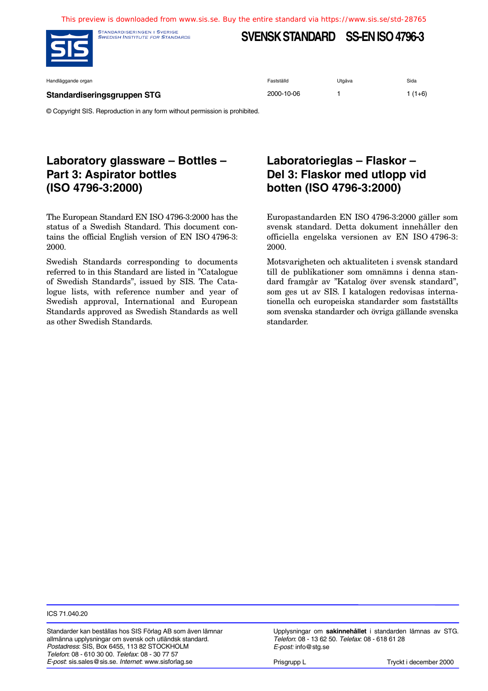

**STANDARDISERINGEN I SVERIGE**<br>SWEDISH INSTITUTE FOR STANDARDS

### **SVENSK STANDARD SS-EN ISO 4796-3**

Handläggande organ Fastställd Utgåva Sida

#### **Standardiseringsgruppen STG** 2000-10-06 1 1 1 (1+6)

© Copyright SIS. Reproduction in any form without permission is prohibited.

### **Laboratory glassware – Bottles – Part 3: Aspirator bottles (ISO 4796-3:2000)**

The European Standard EN ISO 4796-3:2000 has the status of a Swedish Standard. This document contains the official English version of EN ISO 4796-3: 2000.

Swedish Standards corresponding to documents referred to in this Standard are listed in "Catalogue of Swedish Standards", issued by SIS. The Catalogue lists, with reference number and year of Swedish approval, International and European Standards approved as Swedish Standards as well as other Swedish Standards.

### **Laboratorieglas – Flaskor – Del 3: Flaskor med utlopp vid botten (ISO 4796-3:2000)**

Europastandarden EN ISO 4796-3:2000 gäller som svensk standard. Detta dokument innehåller den officiella engelska versionen av EN ISO 4796-3: 2000.

Motsvarigheten och aktualiteten i svensk standard till de publikationer som omnämns i denna standard framgår av "Katalog över svensk standard", som ges ut av SIS. I katalogen redovisas internationella och europeiska standarder som fastställts som svenska standarder och övriga gällande svenska standarder.

ICS 71.040.20

Standarder kan beställas hos SIS Förlag AB som även lämnar allmänna upplysningar om svensk och utländsk standard. Postadress: SIS, Box 6455, 113 82 STOCKHOLM Telefon: 08 - 610 30 00. Telefax: 08 - 30 77 57 E-post: sis.sales@sis.se. Internet: www.sisforlag.se

Upplysningar om **sakinnehållet** i standarden lämnas av STG. Telefon: 08 - 13 62 50. Telefax: 08 - 618 61 28 E-post: info@stg.se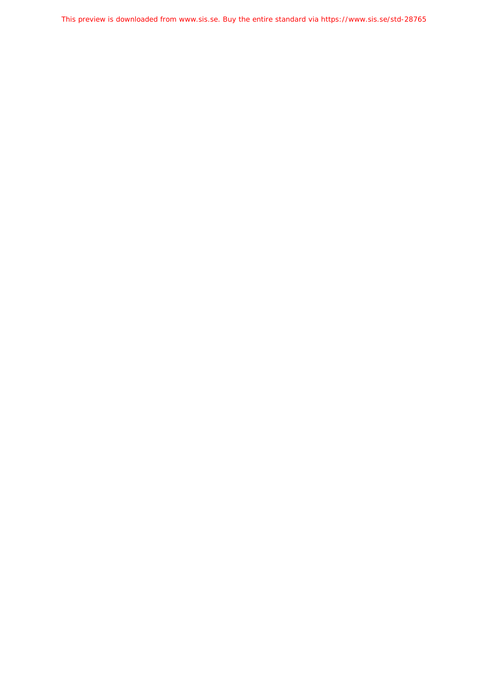This preview is downloaded from www.sis.se. Buy the entire standard via https://www.sis.se/std-28765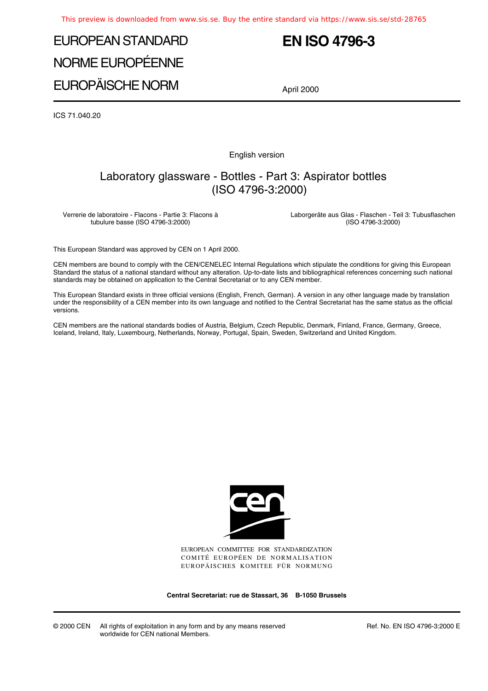# EUROPEAN STANDARD NORME EUROPÉENNE EUROPÄISCHE NORM

# **EN ISO 4796-3**

April 2000

ICS 71.040.20

English version

### Laboratory glassware - Bottles - Part 3: Aspirator bottles (ISO 4796-3:2000)

Verrerie de laboratoire - Flacons - Partie 3: Flacons à tubulure basse (ISO 4796-3:2000)

Laborgeräte aus Glas - Flaschen - Teil 3: Tubusflaschen (ISO 4796-3:2000)

This European Standard was approved by CEN on 1 April 2000.

CEN members are bound to comply with the CEN/CENELEC Internal Regulations which stipulate the conditions for giving this European Standard the status of a national standard without any alteration. Up-to-date lists and bibliographical references concerning such national standards may be obtained on application to the Central Secretariat or to any CEN member.

This European Standard exists in three official versions (English, French, German). A version in any other language made by translation under the responsibility of a CEN member into its own language and notified to the Central Secretariat has the same status as the official versions.

CEN members are the national standards bodies of Austria, Belgium, Czech Republic, Denmark, Finland, France, Germany, Greece, Iceland, Ireland, Italy, Luxembourg, Netherlands, Norway, Portugal, Spain, Sweden, Switzerland and United Kingdom.



EUROPEAN COMMITTEE FOR STANDARDIZATION COMITÉ EUROPÉEN DE NORMALISATION EUROPÄISCHES KOMITEE FÜR NORMUNG

**Central Secretariat: rue de Stassart, 36 B-1050 Brussels**

© 2000 CEN All rights of exploitation in any form and by any means reserved worldwide for CEN national Members.

Ref. No. EN ISO 4796-3:2000 E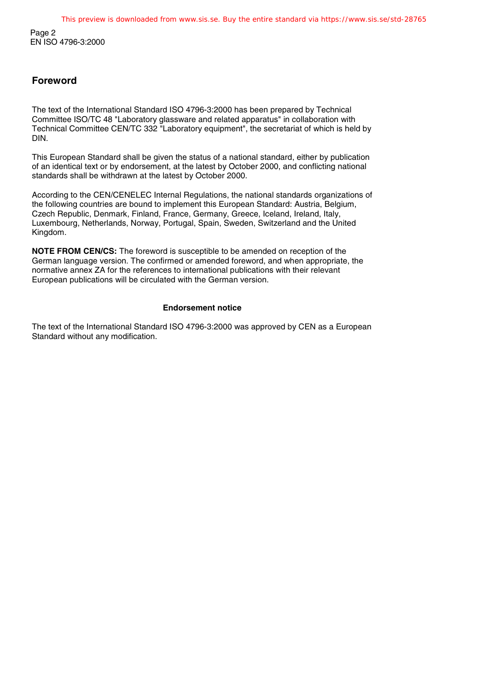Page 2 EN ISO 4796-3:2000

### **Foreword**

The text of the International Standard ISO 4796-3:2000 has been prepared by Technical Committee ISO/TC 48 "Laboratory glassware and related apparatus" in collaboration with Technical Committee CEN/TC 332 "Laboratory equipment", the secretariat of which is held by DIN.

This European Standard shall be given the status of a national standard, either by publication of an identical text or by endorsement, at the latest by October 2000, and conflicting national standards shall be withdrawn at the latest by October 2000.

According to the CEN/CENELEC Internal Regulations, the national standards organizations of the following countries are bound to implement this European Standard: Austria, Belgium, Czech Republic, Denmark, Finland, France, Germany, Greece, Iceland, Ireland, Italy, Luxembourg, Netherlands, Norway, Portugal, Spain, Sweden, Switzerland and the United Kingdom.

**NOTE FROM CEN/CS:** The foreword is susceptible to be amended on reception of the German language version. The confirmed or amended foreword, and when appropriate, the normative annex ZA for the references to international publications with their relevant European publications will be circulated with the German version.

#### **Endorsement notice**

The text of the International Standard ISO 4796-3:2000 was approved by CEN as a European Standard without any modification.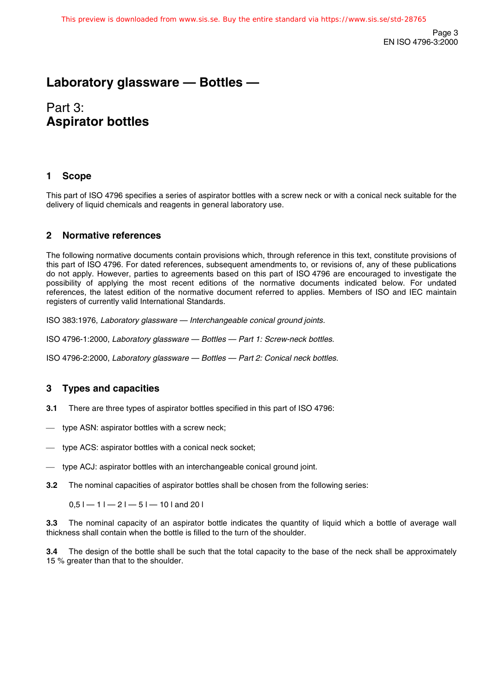Page 3 EN ISO 4796-3:2000

## **Laboratory glassware — Bottles —**

## Part 3: **Aspirator bottles**

### **1 Scope**

This part of ISO 4796 specifies a series of aspirator bottles with a screw neck or with a conical neck suitable for the delivery of liquid chemicals and reagents in general laboratory use.

### **2 Normative references**

The following normative documents contain provisions which, through reference in this text, constitute provisions of this part of ISO 4796. For dated references, subsequent amendments to, or revisions of, any of these publications do not apply. However, parties to agreements based on this part of ISO 4796 are encouraged to investigate the possibility of applying the most recent editions of the normative documents indicated below. For undated references, the latest edition of the normative document referred to applies. Members of ISO and IEC maintain registers of currently valid International Standards.

ISO 383:1976, Laboratory glassware — Interchangeable conical ground joints.

ISO 4796-1:2000, Laboratory glassware — Bottles — Part 1: Screw-neck bottles.

ISO 4796-2:2000, Laboratory glassware — Bottles — Part 2: Conical neck bottles.

### **3 Types and capacities**

- **3.1** There are three types of aspirator bottles specified in this part of ISO 4796:
- type ASN: aspirator bottles with a screw neck;
- type ACS: aspirator bottles with a conical neck socket;
- type ACJ: aspirator bottles with an interchangeable conical ground joint.
- **3.2** The nominal capacities of aspirator bottles shall be chosen from the following series:

 $0.5$  |  $-1$  |  $-2$  |  $-5$  |  $-10$  | and 20 |

**3.3** The nominal capacity of an aspirator bottle indicates the quantity of liquid which a bottle of average wall thickness shall contain when the bottle is filled to the turn of the shoulder.

**3.4** The design of the bottle shall be such that the total capacity to the base of the neck shall be approximately 15 % greater than that to the shoulder.